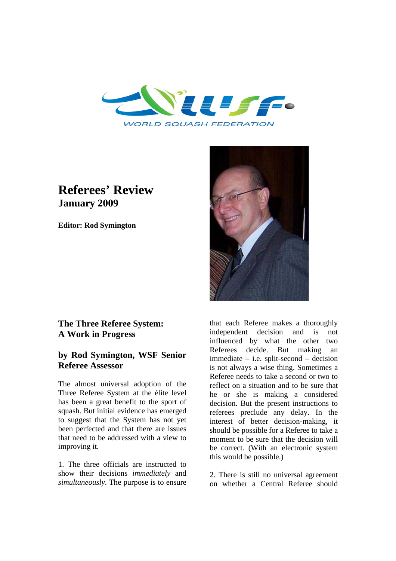

# **Referees' Review January 2009**

**Editor: Rod Symington**



## **The Three Referee System: A Work in Progress**

## **by Rod Symington, WSF Senior Referee Assessor**

The almost universal adoption of the Three Referee System at the élite level has been a great benefit to the sport of squash. But initial evidence has emerged to suggest that the System has not yet been perfected and that there are issues that need to be addressed with a view to improving it.

1. The three officials are instructed to show their decisions *immediately* and *simultaneously*. The purpose is to ensure

that each Referee makes a thoroughly independent decision and is not influenced by what the other two Referees decide. But making an immediate – i.e. split-second – decision is not always a wise thing. Sometimes a Referee needs to take a second or two to reflect on a situation and to be sure that he or she is making a considered decision. But the present instructions to referees preclude any delay. In the interest of better decision-making, it should be possible for a Referee to take a moment to be sure that the decision will be correct. (With an electronic system this would be possible.)

2. There is still no universal agreement on whether a Central Referee should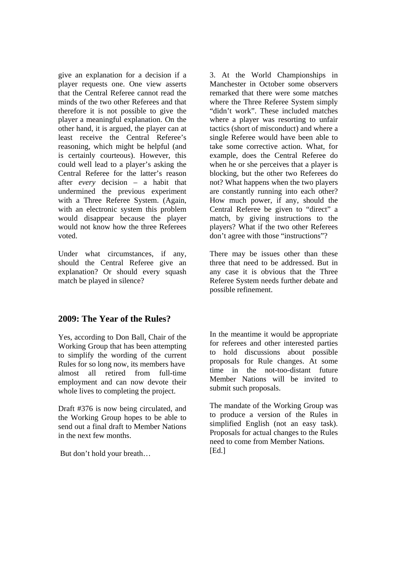give an explanation for a decision if a player requests one. One view asserts that the Central Referee cannot read the minds of the two other Referees and that therefore it is not possible to give the player a meaningful explanation. On the other hand, it is argued, the player can at least receive the Central Referee's reasoning, which might be helpful (and is certainly courteous). However, this could well lead to a player's asking the Central Referee for the latter's reason after *every* decision – a habit that undermined the previous experiment with a Three Referee System. (Again, with an electronic system this problem would disappear because the player would not know how the three Referees voted.

Under what circumstances, if any, should the Central Referee give an explanation? Or should every squash match be played in silence?

## **2009: The Year of the Rules?**

Yes, according to Don Ball, Chair of the Working Group that has been attempting to simplify the wording of the current Rules for so long now, its members have almost all retired from full-time employment and can now devote their whole lives to completing the project.

Draft #376 is now being circulated, and the Working Group hopes to be able to send out a final draft to Member Nations in the next few months.

But don't hold your breath…

3. At the World Championships in Manchester in October some observers remarked that there were some matches where the Three Referee System simply "didn't work". These included matches where a player was resorting to unfair tactics (short of misconduct) and where a single Referee would have been able to take some corrective action. What, for example, does the Central Referee do when he or she perceives that a player is blocking, but the other two Referees do not? What happens when the two players are constantly running into each other? How much power, if any, should the Central Referee be given to "direct" a match, by giving instructions to the players? What if the two other Referees don't agree with those "instructions"?

There may be issues other than these three that need to be addressed. But in any case it is obvious that the Three Referee System needs further debate and possible refinement.

In the meantime it would be appropriate for referees and other interested parties to hold discussions about possible proposals for Rule changes. At some time in the not-too-distant future Member Nations will be invited to submit such proposals.

The mandate of the Working Group was to produce a version of the Rules in simplified English (not an easy task). Proposals for actual changes to the Rules need to come from Member Nations.  $[Ed.]$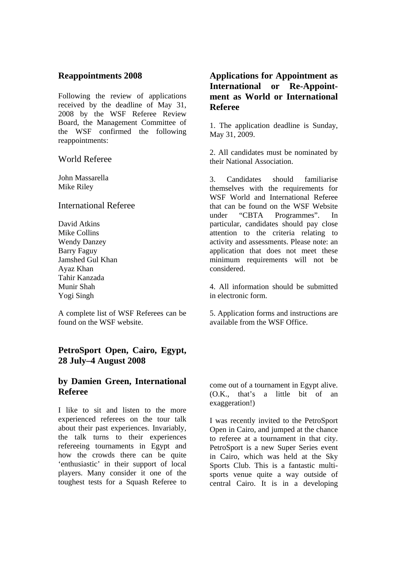### **Reappointments 2008**

Following the review of applications received by the deadline of May 31, 2008 by the WSF Referee Review Board, the Management Committee of the WSF confirmed the following reappointments:

### World Referee

John Massarella Mike Riley

### International Referee

David Atkins Mike Collins Wendy Danzey Barry Faguy Jamshed Gul Khan Ayaz Khan Tahir Kanzada Munir Shah Yogi Singh

A complete list of WSF Referees can be found on the WSF website.

## **PetroSport Open, Cairo, Egypt, 28 July–4 August 2008**

## **by Damien Green, International Referee**

I like to sit and listen to the more experienced referees on the tour talk about their past experiences. Invariably, the talk turns to their experiences refereeing tournaments in Egypt and how the crowds there can be quite 'enthusiastic' in their support of local players. Many consider it one of the toughest tests for a Squash Referee to

## **Applications for Appointment as International or Re-Appointment as World or International Referee**

1. The application deadline is Sunday, May 31, 2009.

2. All candidates must be nominated by their National Association.

3. Candidates should familiarise themselves with the requirements for WSF World and International Referee that can be found on the WSF Website under "CBTA Programmes". In particular, candidates should pay close attention to the criteria relating to activity and assessments. Please note: an application that does not meet these minimum requirements will not be considered.

4. All information should be submitted in electronic form.

5. Application forms and instructions are available from the WSF Office.

come out of a tournament in Egypt alive. (O.K., that's a little bit of an exaggeration!)

I was recently invited to the PetroSport Open in Cairo, and jumped at the chance to referee at a tournament in that city. PetroSport is a new Super Series event in Cairo, which was held at the Sky Sports Club. This is a fantastic multisports venue quite a way outside of central Cairo. It is in a developing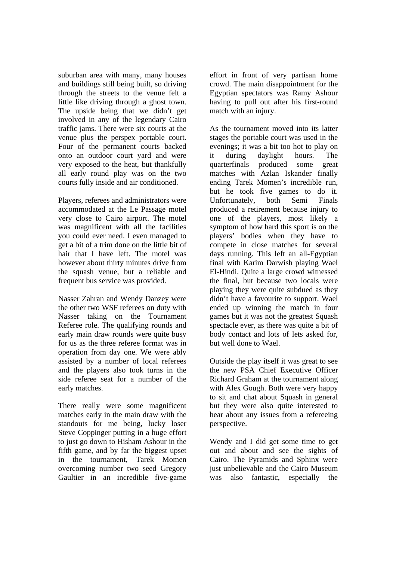suburban area with many, many houses and buildings still being built, so driving through the streets to the venue felt a little like driving through a ghost town. The upside being that we didn't get involved in any of the legendary Cairo traffic jams. There were six courts at the venue plus the perspex portable court. Four of the permanent courts backed onto an outdoor court yard and were very exposed to the heat, but thankfully all early round play was on the two courts fully inside and air conditioned.

Players, referees and administrators were accommodated at the Le Passage motel very close to Cairo airport. The motel was magnificent with all the facilities you could ever need. I even managed to get a bit of a trim done on the little bit of hair that I have left. The motel was however about thirty minutes drive from the squash venue, but a reliable and frequent bus service was provided.

Nasser Zahran and Wendy Danzey were the other two WSF referees on duty with Nasser taking on the Tournament Referee role. The qualifying rounds and early main draw rounds were quite busy for us as the three referee format was in operation from day one. We were ably assisted by a number of local referees and the players also took turns in the side referee seat for a number of the early matches.

There really were some magnificent matches early in the main draw with the standouts for me being, lucky loser Steve Coppinger putting in a huge effort to just go down to Hisham Ashour in the fifth game, and by far the biggest upset in the tournament, Tarek Momen overcoming number two seed Gregory Gaultier in an incredible five-game

effort in front of very partisan home crowd. The main disappointment for the Egyptian spectators was Ramy Ashour having to pull out after his first-round match with an injury.

As the tournament moved into its latter stages the portable court was used in the evenings; it was a bit too hot to play on it during daylight hours. The quarterfinals produced some great matches with Azlan Iskander finally ending Tarek Momen's incredible run, but he took five games to do it. Unfortunately, both Semi Finals produced a retirement because injury to one of the players, most likely a symptom of how hard this sport is on the players' bodies when they have to compete in close matches for several days running. This left an all-Egyptian final with Karim Darwish playing Wael El-Hindi. Quite a large crowd witnessed the final, but because two locals were playing they were quite subdued as they didn't have a favourite to support. Wael ended up winning the match in four games but it was not the greatest Squash spectacle ever, as there was quite a bit of body contact and lots of lets asked for, but well done to Wael.

Outside the play itself it was great to see the new PSA Chief Executive Officer Richard Graham at the tournament along with Alex Gough. Both were very happy to sit and chat about Squash in general but they were also quite interested to hear about any issues from a refereeing perspective.

Wendy and I did get some time to get out and about and see the sights of Cairo. The Pyramids and Sphinx were just unbelievable and the Cairo Museum was also fantastic, especially the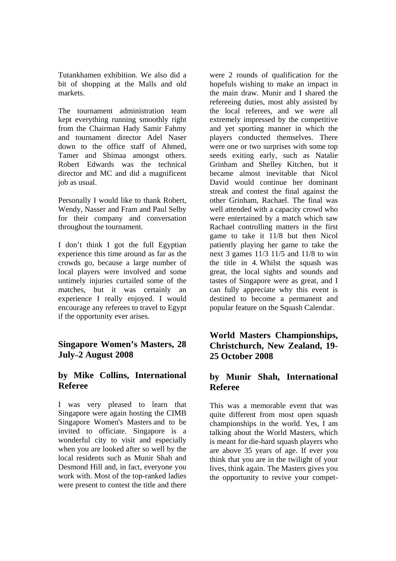Tutankhamen exhibition. We also did a bit of shopping at the Malls and old markets.

The tournament administration team kept everything running smoothly right from the Chairman Hady Samir Fahmy and tournament director Adel Naser down to the office staff of Ahmed, Tamer and Shimaa amongst others. Robert Edwards was the technical director and MC and did a magnificent job as usual.

Personally I would like to thank Robert, Wendy, Nasser and Fram and Paul Selby for their company and conversation throughout the tournament.

I don't think I got the full Egyptian experience this time around as far as the crowds go, because a large number of local players were involved and some untimely injuries curtailed some of the matches, but it was certainly an experience I really enjoyed. I would encourage any referees to travel to Egypt if the opportunity ever arises.

## **Singapore Women's Masters, 28 July–2 August 2008**

## **by Mike Collins, International Referee**

I was very pleased to learn that Singapore were again hosting the CIMB Singapore Women's Masters and to be invited to officiate. Singapore is a wonderful city to visit and especially when you are looked after so well by the local residents such as Munir Shah and Desmond Hill and, in fact, everyone you work with. Most of the top-ranked ladies were present to contest the title and there

were 2 rounds of qualification for the hopefuls wishing to make an impact in the main draw. Munir and I shared the refereeing duties, most ably assisted by the local referees, and we were all extremely impressed by the competitive and yet sporting manner in which the players conducted themselves. There were one or two surprises with some top seeds exiting early, such as Natalie Grinham and Shelley Kitchen, but it became almost inevitable that Nicol David would continue her dominant streak and contest the final against the other Grinham, Rachael. The final was well attended with a capacity crowd who were entertained by a match which saw Rachael controlling matters in the first game to take it 11/8 but then Nicol patiently playing her game to take the next 3 games 11/3 11/5 and 11/8 to win the title in 4. Whilst the squash was great, the local sights and sounds and tastes of Singapore were as great, and I can fully appreciate why this event is destined to become a permanent and popular feature on the Squash Calendar.

## **World Masters Championships, Christchurch, New Zealand, 19- 25 October 2008**

## **by Munir Shah, International Referee**

This was a memorable event that was quite different from most open squash championships in the world. Yes, I am talking about the World Masters, which is meant for die-hard squash players who are above 35 years of age. If ever you think that you are in the twilight of your lives, think again. The Masters gives you the opportunity to revive your compet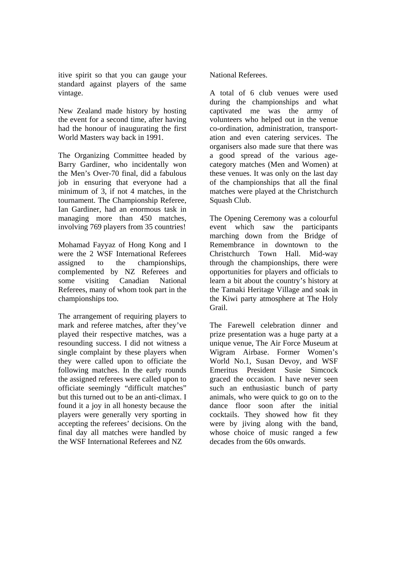itive spirit so that you can gauge your standard against players of the same vintage.

New Zealand made history by hosting the event for a second time, after having had the honour of inaugurating the first World Masters way back in 1991.

The Organizing Committee headed by Barry Gardiner, who incidentally won the Men's Over-70 final, did a fabulous job in ensuring that everyone had a minimum of 3, if not 4 matches, in the tournament. The Championship Referee, Ian Gardiner, had an enormous task in managing more than 450 matches, involving 769 players from 35 countries!

Mohamad Fayyaz of Hong Kong and I were the 2 WSF International Referees assigned to the championships, complemented by NZ Referees and some visiting Canadian National Referees, many of whom took part in the championships too.

The arrangement of requiring players to mark and referee matches, after they've played their respective matches, was a resounding success. I did not witness a single complaint by these players when they were called upon to officiate the following matches. In the early rounds the assigned referees were called upon to officiate seemingly "difficult matches" but this turned out to be an anti-climax. I found it a joy in all honesty because the players were generally very sporting in accepting the referees' decisions. On the final day all matches were handled by the WSF International Referees and NZ

National Referees.

A total of 6 club venues were used during the championships and what captivated me was the army of volunteers who helped out in the venue co-ordination, administration, transportation and even catering services. The organisers also made sure that there was a good spread of the various agecategory matches (Men and Women) at these venues. It was only on the last day of the championships that all the final matches were played at the Christchurch Squash Club.

The Opening Ceremony was a colourful event which saw the participants marching down from the Bridge of Remembrance in downtown to the Christchurch Town Hall. Mid-way through the championships, there were opportunities for players and officials to learn a bit about the country's history at the Tamaki Heritage Village and soak in the Kiwi party atmosphere at The Holy Grail.

The Farewell celebration dinner and prize presentation was a huge party at a unique venue, The Air Force Museum at Wigram Airbase. Former Women's World No.1, Susan Devoy, and WSF Emeritus President Susie Simcock graced the occasion. I have never seen such an enthusiastic bunch of party animals, who were quick to go on to the dance floor soon after the initial cocktails. They showed how fit they were by jiving along with the band, whose choice of music ranged a few decades from the 60s onwards.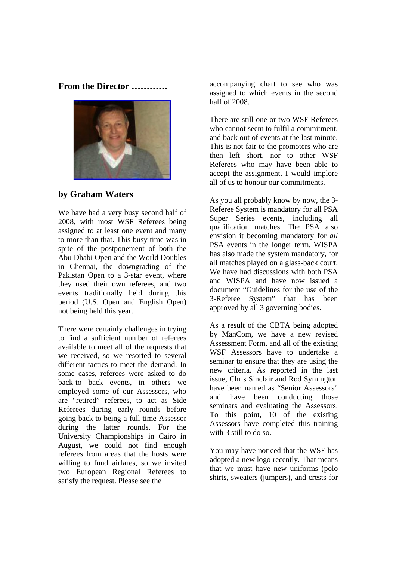**From the Director …………** 



## **by Graham Waters**

We have had a very busy second half of 2008, with most WSF Referees being assigned to at least one event and many to more than that. This busy time was in spite of the postponement of both the Abu Dhabi Open and the World Doubles in Chennai, the downgrading of the Pakistan Open to a 3-star event, where they used their own referees, and two events traditionally held during this period (U.S. Open and English Open) not being held this year.

There were certainly challenges in trying to find a sufficient number of referees available to meet all of the requests that we received, so we resorted to several different tactics to meet the demand. In some cases, referees were asked to do back-to back events, in others we employed some of our Assessors, who are "retired" referees, to act as Side Referees during early rounds before going back to being a full time Assessor during the latter rounds. For the University Championships in Cairo in August, we could not find enough referees from areas that the hosts were willing to fund airfares, so we invited two European Regional Referees to satisfy the request. Please see the

accompanying chart to see who was assigned to which events in the second half of 2008.

There are still one or two WSF Referees who cannot seem to fulfil a commitment, and back out of events at the last minute. This is not fair to the promoters who are then left short, nor to other WSF Referees who may have been able to accept the assignment. I would implore all of us to honour our commitments.

As you all probably know by now, the 3- Referee System is mandatory for all PSA Super Series events, including all qualification matches. The PSA also envision it becoming mandatory for *all* PSA events in the longer term. WISPA has also made the system mandatory, for all matches played on a glass-back court. We have had discussions with both PSA and WISPA and have now issued a document "Guidelines for the use of the 3-Referee System" that has been approved by all 3 governing bodies.

As a result of the CBTA being adopted by ManCom, we have a new revised Assessment Form, and all of the existing WSF Assessors have to undertake a seminar to ensure that they are using the new criteria. As reported in the last issue, Chris Sinclair and Rod Symington have been named as "Senior Assessors" and have been conducting those seminars and evaluating the Assessors. To this point, 10 of the existing Assessors have completed this training with 3 still to do so.

You may have noticed that the WSF has adopted a new logo recently. That means that we must have new uniforms (polo shirts, sweaters (jumpers), and crests for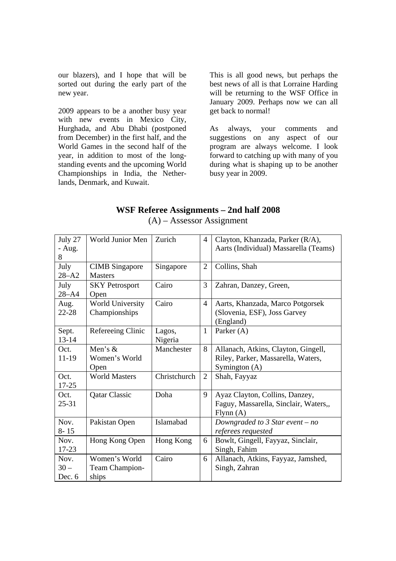our blazers), and I hope that will be sorted out during the early part of the new year.

2009 appears to be a another busy year with new events in Mexico City, Hurghada, and Abu Dhabi (postponed from December) in the first half, and the World Games in the second half of the year, in addition to most of the longstanding events and the upcoming World Championships in India, the Netherlands, Denmark, and Kuwait.

This is all good news, but perhaps the best news of all is that Lorraine Harding will be returning to the WSF Office in January 2009. Perhaps now we can all get back to normal!

As always, your comments and suggestions on any aspect of our program are always welcome. I look forward to catching up with many of you during what is shaping up to be another busy year in 2009.

## **WSF Referee Assignments – 2nd half 2008**

| July 27   | World Junior Men        | Zurich       | 4              | Clayton, Khanzada, Parker (R/A),      |
|-----------|-------------------------|--------------|----------------|---------------------------------------|
| - Aug.    |                         |              |                | Aarts (Individual) Massarella (Teams) |
| 8         |                         |              |                |                                       |
| July      | <b>CIMB</b> Singapore   | Singapore    | $\overline{2}$ | Collins, Shah                         |
| $28 - A2$ | <b>Masters</b>          |              |                |                                       |
| July      | <b>SKY Petrosport</b>   | Cairo        | 3              | Zahran, Danzey, Green,                |
| $28 - A4$ | Open                    |              |                |                                       |
| Aug.      | <b>World University</b> | Cairo        | $\overline{4}$ | Aarts, Khanzada, Marco Potgorsek      |
| $22 - 28$ | Championships           |              |                | (Slovenia, ESF), Joss Garvey          |
|           |                         |              |                | (England)                             |
| Sept.     | Refereeing Clinic       | Lagos,       | $\mathbf{1}$   | Parker $(A)$                          |
| $13 - 14$ |                         | Nigeria      |                |                                       |
| Oct.      | Men's $&$               | Manchester   | 8              | Allanach, Atkins, Clayton, Gingell,   |
| 11-19     | Women's World           |              |                | Riley, Parker, Massarella, Waters,    |
|           | Open                    |              |                | Symington (A)                         |
| Oct.      | <b>World Masters</b>    | Christchurch | $\overline{2}$ | Shah, Fayyaz                          |
| $17 - 25$ |                         |              |                |                                       |
| Oct.      | <b>Qatar Classic</b>    | Doha         | 9              | Ayaz Clayton, Collins, Danzey,        |
| $25 - 31$ |                         |              |                | Faguy, Massarella, Sinclair, Waters,, |
|           |                         |              |                | Flynn(A)                              |
| Nov.      | Pakistan Open           | Islamabad    |                | Downgraded to 3 Star event $- no$     |
| $8 - 15$  |                         |              |                | referees requested                    |
| Nov.      | Hong Kong Open          | Hong Kong    | 6              | Bowlt, Gingell, Fayyaz, Sinclair,     |
| $17 - 23$ |                         |              |                | Singh, Fahim                          |
| Nov.      | Women's World           | Cairo        | 6              | Allanach, Atkins, Fayyaz, Jamshed,    |
| $30 -$    | Team Champion-          |              |                | Singh, Zahran                         |
| Dec. 6    | ships                   |              |                |                                       |

(A) – Assessor Assignment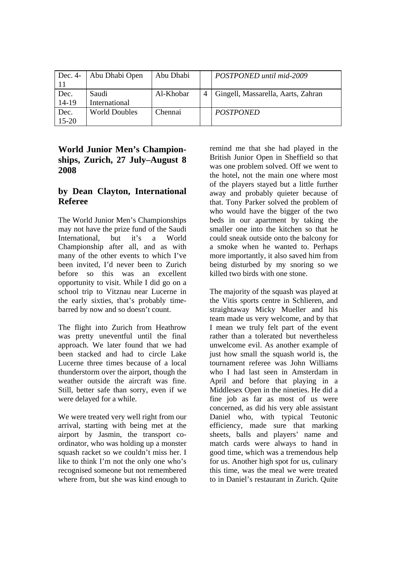| Dec. $4-$         | Abu Dhabi Open         | Abu Dhabi | POSTPONED until mid-2009           |
|-------------------|------------------------|-----------|------------------------------------|
| Dec.<br>14-19     | Saudi<br>International | Al-Khobar | Gingell, Massarella, Aarts, Zahran |
| Dec.<br>$15 - 20$ | <b>World Doubles</b>   | Chennai   | <b>POSTPONED</b>                   |

## **World Junior Men's Championships, Zurich, 27 July–August 8 2008**

## **by Dean Clayton, International Referee**

The World Junior Men's Championships may not have the prize fund of the Saudi International, but it's a World Championship after all, and as with many of the other events to which I've been invited, I'd never been to Zurich before so this was an excellent opportunity to visit. While I did go on a school trip to Vitznau near Lucerne in the early sixties, that's probably timebarred by now and so doesn't count.

The flight into Zurich from Heathrow was pretty uneventful until the final approach. We later found that we had been stacked and had to circle Lake Lucerne three times because of a local thunderstorm over the airport, though the weather outside the aircraft was fine. Still, better safe than sorry, even if we were delayed for a while.

We were treated very well right from our arrival, starting with being met at the airport by Jasmin, the transport coordinator, who was holding up a monster squash racket so we couldn't miss her. I like to think I'm not the only one who's recognised someone but not remembered where from, but she was kind enough to

remind me that she had played in the British Junior Open in Sheffield so that was one problem solved. Off we went to the hotel, not the main one where most of the players stayed but a little further away and probably quieter because of that. Tony Parker solved the problem of who would have the bigger of the two beds in our apartment by taking the smaller one into the kitchen so that he could sneak outside onto the balcony for a smoke when he wanted to. Perhaps more importantly, it also saved him from being disturbed by my snoring so we killed two birds with one stone.

The majority of the squash was played at the Vitis sports centre in Schlieren, and straightaway Micky Mueller and his team made us very welcome, and by that I mean we truly felt part of the event rather than a tolerated but nevertheless unwelcome evil. As another example of just how small the squash world is, the tournament referee was John Williams who I had last seen in Amsterdam in April and before that playing in a Middlesex Open in the nineties. He did a fine job as far as most of us were concerned, as did his very able assistant Daniel who, with typical Teutonic efficiency, made sure that marking sheets, balls and players' name and match cards were always to hand in good time, which was a tremendous help for us. Another high spot for us, culinary this time, was the meal we were treated to in Daniel's restaurant in Zurich. Quite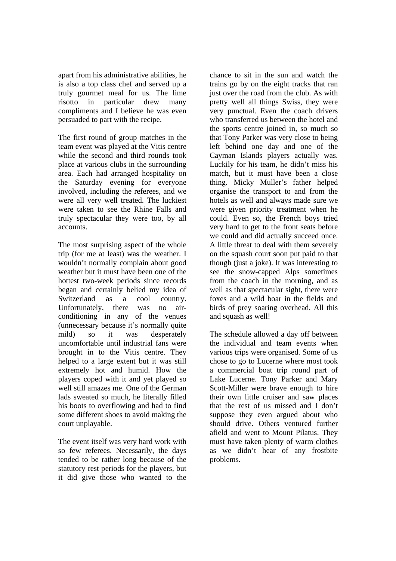apart from his administrative abilities, he is also a top class chef and served up a truly gourmet meal for us. The lime risotto in particular drew many compliments and I believe he was even persuaded to part with the recipe.

The first round of group matches in the team event was played at the Vitis centre while the second and third rounds took place at various clubs in the surrounding area. Each had arranged hospitality on the Saturday evening for everyone involved, including the referees, and we were all very well treated. The luckiest were taken to see the Rhine Falls and truly spectacular they were too, by all accounts.

The most surprising aspect of the whole trip (for me at least) was the weather. I wouldn't normally complain about good weather but it must have been one of the hottest two-week periods since records began and certainly belied my idea of Switzerland as a cool country. Unfortunately, there was no airconditioning in any of the venues (unnecessary because it's normally quite mild) so it was desperately uncomfortable until industrial fans were brought in to the Vitis centre. They helped to a large extent but it was still extremely hot and humid. How the players coped with it and yet played so well still amazes me. One of the German lads sweated so much, he literally filled his boots to overflowing and had to find some different shoes to avoid making the court unplayable.

The event itself was very hard work with so few referees. Necessarily, the days tended to be rather long because of the statutory rest periods for the players, but it did give those who wanted to the

chance to sit in the sun and watch the trains go by on the eight tracks that ran just over the road from the club. As with pretty well all things Swiss, they were very punctual. Even the coach drivers who transferred us between the hotel and the sports centre joined in, so much so that Tony Parker was very close to being left behind one day and one of the Cayman Islands players actually was. Luckily for his team, he didn't miss his match, but it must have been a close thing. Micky Muller's father helped organise the transport to and from the hotels as well and always made sure we were given priority treatment when he could. Even so, the French boys tried very hard to get to the front seats before we could and did actually succeed once. A little threat to deal with them severely on the squash court soon put paid to that though (just a joke). It was interesting to see the snow-capped Alps sometimes from the coach in the morning, and as well as that spectacular sight, there were foxes and a wild boar in the fields and birds of prey soaring overhead. All this and squash as well!

The schedule allowed a day off between the individual and team events when various trips were organised. Some of us chose to go to Lucerne where most took a commercial boat trip round part of Lake Lucerne. Tony Parker and Mary Scott-Miller were brave enough to hire their own little cruiser and saw places that the rest of us missed and I don't suppose they even argued about who should drive. Others ventured further afield and went to Mount Pilatus. They must have taken plenty of warm clothes as we didn't hear of any frostbite problems.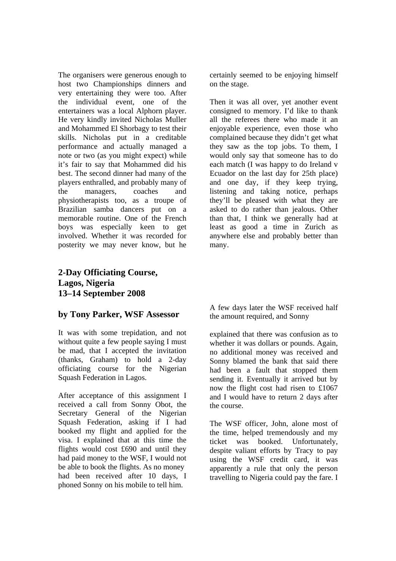The organisers were generous enough to host two Championships dinners and very entertaining they were too. After the individual event, one of the entertainers was a local Alphorn player. He very kindly invited Nicholas Muller and Mohammed El Shorbagy to test their skills. Nicholas put in a creditable performance and actually managed a note or two (as you might expect) while it's fair to say that Mohammed did his best. The second dinner had many of the players enthralled, and probably many of the managers, coaches and physiotherapists too, as a troupe of Brazilian samba dancers put on a memorable routine. One of the French boys was especially keen to get involved. Whether it was recorded for posterity we may never know, but he

### certainly seemed to be enjoying himself on the stage.

Then it was all over, yet another event consigned to memory. I'd like to thank all the referees there who made it an enjoyable experience, even those who complained because they didn't get what they saw as the top jobs. To them, I would only say that someone has to do each match (I was happy to do Ireland v Ecuador on the last day for 25th place) and one day, if they keep trying, listening and taking notice, perhaps they'll be pleased with what they are asked to do rather than jealous. Other than that, I think we generally had at least as good a time in Zurich as anywhere else and probably better than many.

## **2-Day Officiating Course, Lagos, Nigeria 13–14 September 2008**

## **by Tony Parker, WSF Assessor**

It was with some trepidation, and not without quite a few people saying I must be mad, that I accepted the invitation (thanks, Graham) to hold a 2-day officiating course for the Nigerian Squash Federation in Lagos.

After acceptance of this assignment I received a call from Sonny Obot, the Secretary General of the Nigerian Squash Federation, asking if I had booked my flight and applied for the visa. I explained that at this time the flights would cost £690 and until they had paid money to the WSF, I would not be able to book the flights. As no money had been received after 10 days, I phoned Sonny on his mobile to tell him.

A few days later the WSF received half the amount required, and Sonny

explained that there was confusion as to whether it was dollars or pounds. Again, no additional money was received and Sonny blamed the bank that said there had been a fault that stopped them sending it. Eventually it arrived but by now the flight cost had risen to £1067 and I would have to return 2 days after the course.

The WSF officer, John, alone most of the time, helped tremendously and my ticket was booked. Unfortunately, despite valiant efforts by Tracy to pay using the WSF credit card, it was apparently a rule that only the person travelling to Nigeria could pay the fare. I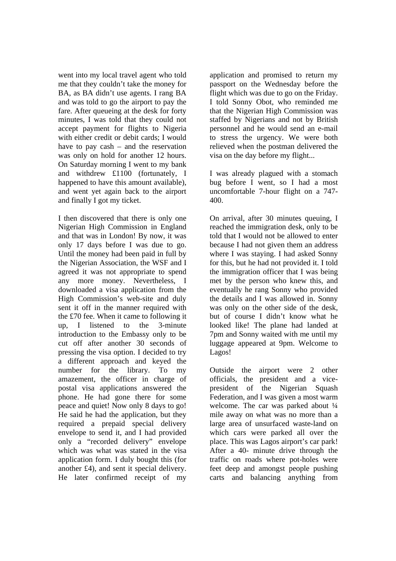went into my local travel agent who told me that they couldn't take the money for BA, as BA didn't use agents. I rang BA and was told to go the airport to pay the fare. After queueing at the desk for forty minutes, I was told that they could not accept payment for flights to Nigeria with either credit or debit cards; I would have to pay cash – and the reservation was only on hold for another 12 hours. On Saturday morning I went to my bank and withdrew £1100 (fortunately, I happened to have this amount available), and went yet again back to the airport and finally I got my ticket.

I then discovered that there is only one Nigerian High Commission in England and that was in London! By now, it was only 17 days before I was due to go. Until the money had been paid in full by the Nigerian Association, the WSF and I agreed it was not appropriate to spend any more money. Nevertheless, I downloaded a visa application from the High Commission's web-site and duly sent it off in the manner required with the £70 fee. When it came to following it up, I listened to the 3-minute introduction to the Embassy only to be cut off after another 30 seconds of pressing the visa option. I decided to try a different approach and keyed the number for the library. To my amazement, the officer in charge of postal visa applications answered the phone. He had gone there for some peace and quiet! Now only 8 days to go! He said he had the application, but they required a prepaid special delivery envelope to send it, and I had provided only a "recorded delivery" envelope which was what was stated in the visa application form. I duly bought this (for another £4), and sent it special delivery. He later confirmed receipt of my

application and promised to return my passport on the Wednesday before the flight which was due to go on the Friday. I told Sonny Obot, who reminded me that the Nigerian High Commission was staffed by Nigerians and not by British personnel and he would send an e-mail to stress the urgency. We were both relieved when the postman delivered the visa on the day before my flight...

I was already plagued with a stomach bug before I went, so I had a most uncomfortable 7-hour flight on a 747- 400.

On arrival, after 30 minutes queuing, I reached the immigration desk, only to be told that I would not be allowed to enter because I had not given them an address where I was staying. I had asked Sonny for this, but he had not provided it. I told the immigration officer that I was being met by the person who knew this, and eventually he rang Sonny who provided the details and I was allowed in. Sonny was only on the other side of the desk, but of course I didn't know what he looked like! The plane had landed at 7pm and Sonny waited with me until my luggage appeared at 9pm. Welcome to Lagos!

Outside the airport were 2 other officials, the president and a vicepresident of the Nigerian Squash Federation, and I was given a most warm welcome. The car was parked about  $\frac{1}{4}$ mile away on what was no more than a large area of unsurfaced waste-land on which cars were parked all over the place. This was Lagos airport's car park! After a 40- minute drive through the traffic on roads where pot-holes were feet deep and amongst people pushing carts and balancing anything from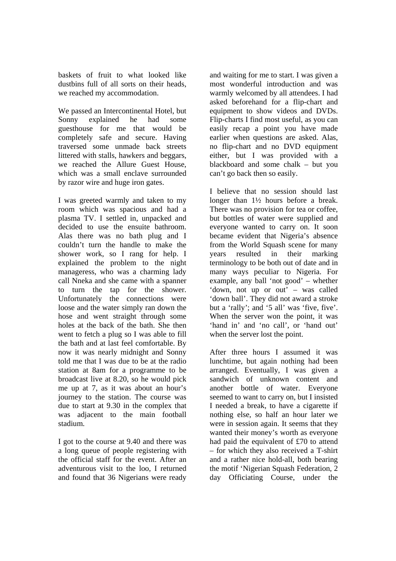baskets of fruit to what looked like dustbins full of all sorts on their heads, we reached my accommodation.

We passed an Intercontinental Hotel, but Sonny explained he had some guesthouse for me that would be completely safe and secure. Having traversed some unmade back streets littered with stalls, hawkers and beggars, we reached the Allure Guest House, which was a small enclave surrounded by razor wire and huge iron gates.

I was greeted warmly and taken to my room which was spacious and had a plasma TV. I settled in, unpacked and decided to use the ensuite bathroom. Alas there was no bath plug and I couldn't turn the handle to make the shower work, so I rang for help. I explained the problem to the night manageress, who was a charming lady call Nneka and she came with a spanner to turn the tap for the shower. Unfortunately the connections were loose and the water simply ran down the hose and went straight through some holes at the back of the bath. She then went to fetch a plug so I was able to fill the bath and at last feel comfortable. By now it was nearly midnight and Sonny told me that I was due to be at the radio station at 8am for a programme to be broadcast live at 8.20, so he would pick me up at 7, as it was about an hour's journey to the station. The course was due to start at 9.30 in the complex that was adjacent to the main football stadium.

I got to the course at 9.40 and there was a long queue of people registering with the official staff for the event. After an adventurous visit to the loo, I returned and found that 36 Nigerians were ready

and waiting for me to start. I was given a most wonderful introduction and was warmly welcomed by all attendees. I had asked beforehand for a flip-chart and equipment to show videos and DVDs. Flip-charts I find most useful, as you can easily recap a point you have made earlier when questions are asked. Alas, no flip-chart and no DVD equipment either, but I was provided with a blackboard and some chalk – but you can't go back then so easily.

I believe that no session should last longer than 1½ hours before a break. There was no provision for tea or coffee, but bottles of water were supplied and everyone wanted to carry on. It soon became evident that Nigeria's absence from the World Squash scene for many years resulted in their marking terminology to be both out of date and in many ways peculiar to Nigeria. For example, any ball 'not good' – whether 'down, not up or out' – was called 'down ball'. They did not award a stroke but a 'rally'; and '5 all' was 'five, five'. When the server won the point, it was 'hand in' and 'no call', or 'hand out' when the server lost the point.

After three hours I assumed it was lunchtime, but again nothing had been arranged. Eventually, I was given a sandwich of unknown content and another bottle of water. Everyone seemed to want to carry on, but I insisted I needed a break, to have a cigarette if nothing else, so half an hour later we were in session again. It seems that they wanted their money's worth as everyone had paid the equivalent of £70 to attend – for which they also received a T-shirt and a rather nice hold-all, both bearing the motif 'Nigerian Squash Federation, 2 day Officiating Course, under the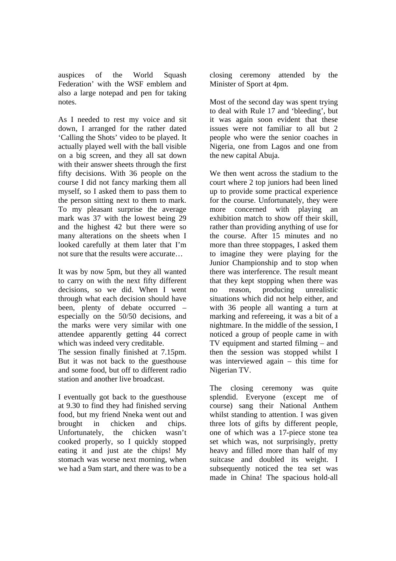auspices of the World Squash Federation' with the WSF emblem and also a large notepad and pen for taking notes.

As I needed to rest my voice and sit down, I arranged for the rather dated 'Calling the Shots' video to be played. It actually played well with the ball visible on a big screen, and they all sat down with their answer sheets through the first fifty decisions. With 36 people on the course I did not fancy marking them all myself, so I asked them to pass them to the person sitting next to them to mark. To my pleasant surprise the average mark was 37 with the lowest being 29 and the highest 42 but there were so many alterations on the sheets when I looked carefully at them later that I'm not sure that the results were accurate…

It was by now 5pm, but they all wanted to carry on with the next fifty different decisions, so we did. When I went through what each decision should have been, plenty of debate occurred – especially on the 50/50 decisions, and the marks were very similar with one attendee apparently getting 44 correct which was indeed very creditable. The session finally finished at 7.15pm.

But it was not back to the guesthouse and some food, but off to different radio station and another live broadcast.

I eventually got back to the guesthouse at 9.30 to find they had finished serving food, but my friend Nneka went out and brought in chicken and chips. Unfortunately, the chicken wasn't cooked properly, so I quickly stopped eating it and just ate the chips! My stomach was worse next morning, when we had a 9am start, and there was to be a closing ceremony attended by the Minister of Sport at 4pm.

Most of the second day was spent trying to deal with Rule 17 and 'bleeding', but it was again soon evident that these issues were not familiar to all but 2 people who were the senior coaches in Nigeria, one from Lagos and one from the new capital Abuja.

We then went across the stadium to the court where 2 top juniors had been lined up to provide some practical experience for the course. Unfortunately, they were more concerned with playing an exhibition match to show off their skill, rather than providing anything of use for the course. After 15 minutes and no more than three stoppages, I asked them to imagine they were playing for the Junior Championship and to stop when there was interference. The result meant that they kept stopping when there was no reason, producing unrealistic situations which did not help either, and with 36 people all wanting a turn at marking and refereeing, it was a bit of a nightmare. In the middle of the session, I noticed a group of people came in with TV equipment and started filming – and then the session was stopped whilst I was interviewed again – this time for Nigerian TV.

The closing ceremony was quite splendid. Everyone (except me of course) sang their National Anthem whilst standing to attention. I was given three lots of gifts by different people, one of which was a 17-piece stone tea set which was, not surprisingly, pretty heavy and filled more than half of my suitcase and doubled its weight. I subsequently noticed the tea set was made in China! The spacious hold-all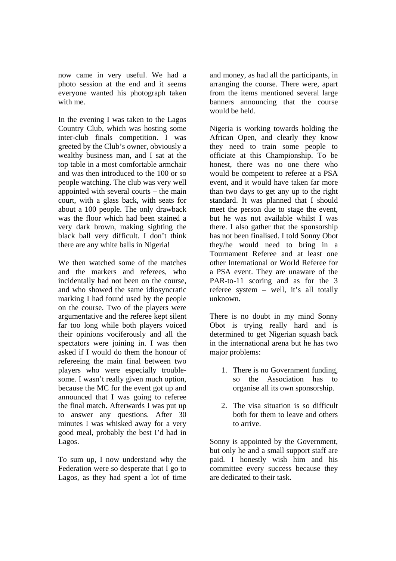now came in very useful. We had a photo session at the end and it seems everyone wanted his photograph taken with me.

In the evening I was taken to the Lagos Country Club, which was hosting some inter-club finals competition. I was greeted by the Club's owner, obviously a wealthy business man, and I sat at the top table in a most comfortable armchair and was then introduced to the 100 or so people watching. The club was very well appointed with several courts – the main court, with a glass back, with seats for about a 100 people. The only drawback was the floor which had been stained a very dark brown, making sighting the black ball very difficult. I don't think there are any white balls in Nigeria!

We then watched some of the matches and the markers and referees, who incidentally had not been on the course, and who showed the same idiosyncratic marking I had found used by the people on the course. Two of the players were argumentative and the referee kept silent far too long while both players voiced their opinions vociferously and all the spectators were joining in. I was then asked if I would do them the honour of refereeing the main final between two players who were especially troublesome. I wasn't really given much option, because the MC for the event got up and announced that I was going to referee the final match. Afterwards I was put up to answer any questions. After 30 minutes I was whisked away for a very good meal, probably the best I'd had in Lagos.

To sum up, I now understand why the Federation were so desperate that I go to Lagos, as they had spent a lot of time

and money, as had all the participants, in arranging the course. There were, apart from the items mentioned several large banners announcing that the course would be held.

Nigeria is working towards holding the African Open, and clearly they know they need to train some people to officiate at this Championship. To be honest, there was no one there who would be competent to referee at a PSA event, and it would have taken far more than two days to get any up to the right standard. It was planned that I should meet the person due to stage the event, but he was not available whilst I was there. I also gather that the sponsorship has not been finalised. I told Sonny Obot they/he would need to bring in a Tournament Referee and at least one other International or World Referee for a PSA event. They are unaware of the PAR-to-11 scoring and as for the 3 referee system – well, it's all totally unknown.

There is no doubt in my mind Sonny Obot is trying really hard and is determined to get Nigerian squash back in the international arena but he has two major problems:

- 1. There is no Government funding, so the Association has to organise all its own sponsorship.
- 2. The visa situation is so difficult both for them to leave and others to arrive.

Sonny is appointed by the Government, but only he and a small support staff are paid. I honestly wish him and his committee every success because they are dedicated to their task.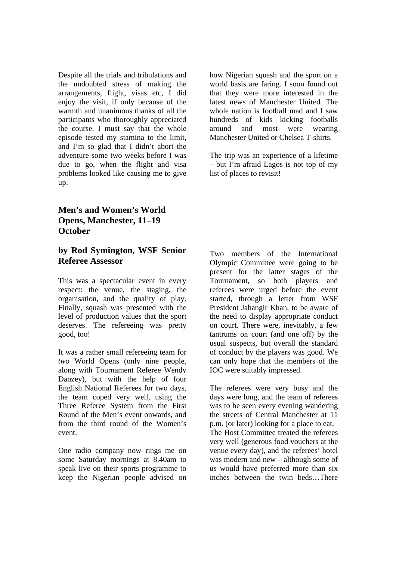Despite all the trials and tribulations and the undoubted stress of making the arrangements, flight, visas etc, I did enjoy the visit, if only because of the warmth and unanimous thanks of all the participants who thoroughly appreciated the course. I must say that the whole episode tested my stamina to the limit, and I'm so glad that I didn't abort the adventure some two weeks before I was due to go, when the flight and visa problems looked like causing me to give up.

how Nigerian squash and the sport on a world basis are faring. I soon found out that they were more interested in the latest news of Manchester United. The whole nation is football mad and I saw hundreds of kids kicking footballs around and most were wearing Manchester United or Chelsea T-shirts.

The trip was an experience of a lifetime  $-$  but I'm afraid Lagos is not top of my list of places to revisit!

## **Men's and Women's World Opens, Manchester, 11–19 October**

## **by Rod Symington, WSF Senior Referee Assessor**

This was a spectacular event in every respect: the venue, the staging, the organisation, and the quality of play. Finally, squash was presented with the level of production values that the sport deserves. The refereeing was pretty good, too!

It was a rather small refereeing team for *two* World Opens (only nine people, along with Tournament Referee Wendy Danzey), but with the help of four English National Referees for two days, the team coped very well, using the Three Referee System from the First Round of the Men's event onwards, and from the third round of the Women's event.

One radio company now rings me on some Saturday mornings at 8.40am to speak live on their sports programme to keep the Nigerian people advised on Two members of the International Olympic Committee were going to be present for the latter stages of the Tournament, so both players and referees were urged before the event started, through a letter from WSF President Jahangir Khan, to be aware of the need to display appropriate conduct on court. There were, inevitably, a few tantrums on court (and one off) by the usual suspects, but overall the standard of conduct by the players was good. We can only hope that the members of the IOC were suitably impressed.

The referees were very busy and the days were long, and the team of referees was to be seen every evening wandering the streets of Central Manchester at 11 p.m. (or later) looking for a place to eat. The Host Committee treated the referees very well (generous food vouchers at the venue every day), and the referees' hotel was modern and new – although some of us would have preferred more than six inches between the twin beds…There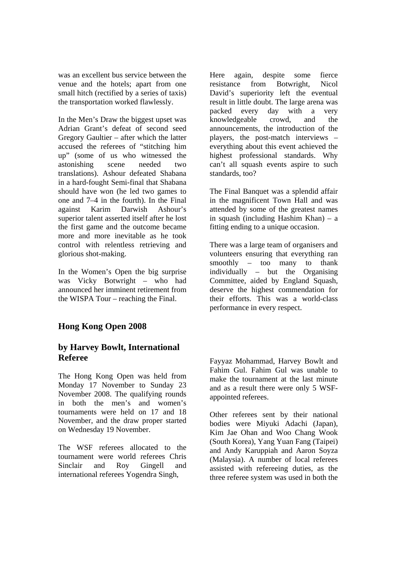was an excellent bus service between the venue and the hotels; apart from one small hitch (rectified by a series of taxis) the transportation worked flawlessly.

In the Men's Draw the biggest upset was Adrian Grant's defeat of second seed Gregory Gaultier – after which the latter accused the referees of "stitching him up" (some of us who witnessed the astonishing scene needed two translations). Ashour defeated Shabana in a hard-fought Semi-final that Shabana should have won (he led two games to one and 7–4 in the fourth). In the Final against Karim Darwish Ashour's superior talent asserted itself after he lost the first game and the outcome became more and more inevitable as he took control with relentless retrieving and glorious shot-making.

In the Women's Open the big surprise was Vicky Botwright – who had announced her imminent retirement from the WISPA Tour – reaching the Final.

## **Hong Kong Open 2008**

## **by Harvey Bowlt, International Referee**

The Hong Kong Open was held from Monday 17 November to Sunday 23 November 2008. The qualifying rounds in both the men's and women's tournaments were held on 17 and 18 November, and the draw proper started on Wednesday 19 November.

The WSF referees allocated to the tournament were world referees Chris Sinclair and Roy Gingell and international referees Yogendra Singh,

Here again, despite some fierce resistance from Botwright, Nicol David's superiority left the eventual result in little doubt. The large arena was packed every day with a very knowledgeable crowd, and the announcements, the introduction of the players, the post-match interviews – everything about this event achieved the highest professional standards. Why can't all squash events aspire to such standards, too?

The Final Banquet was a splendid affair in the magnificent Town Hall and was attended by some of the greatest names in squash (including Hashim Khan) – a fitting ending to a unique occasion.

There was a large team of organisers and volunteers ensuring that everything ran smoothly – too many to thank individually – but the Organising Committee, aided by England Squash, deserve the highest commendation for their efforts. This was a world-class performance in every respect.

Fayyaz Mohammad, Harvey Bowlt and Fahim Gul. Fahim Gul was unable to make the tournament at the last minute and as a result there were only 5 WSFappointed referees.

Other referees sent by their national bodies were Miyuki Adachi (Japan), Kim Jae Ohan and Woo Chang Wook (South Korea), Yang Yuan Fang (Taipei) and Andy Karuppiah and Aaron Soyza (Malaysia). A number of local referees assisted with refereeing duties, as the three referee system was used in both the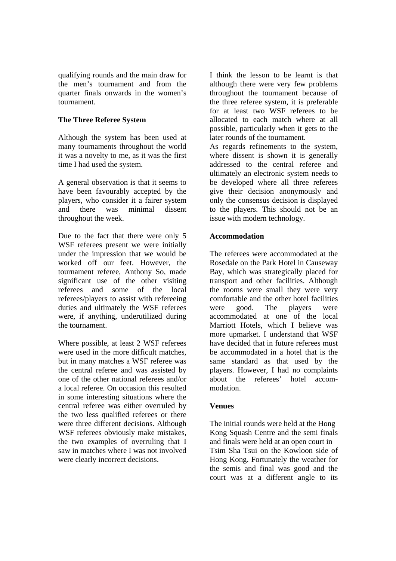qualifying rounds and the main draw for the men's tournament and from the quarter finals onwards in the women's tournament.

### **The Three Referee System**

Although the system has been used at many tournaments throughout the world it was a novelty to me, as it was the first time I had used the system.

A general observation is that it seems to have been favourably accepted by the players, who consider it a fairer system and there was minimal dissent throughout the week.

Due to the fact that there were only 5 WSF referees present we were initially under the impression that we would be worked off our feet. However, the tournament referee, Anthony So, made significant use of the other visiting referees and some of the local referees/players to assist with refereeing duties and ultimately the WSF referees were, if anything, underutilized during the tournament.

Where possible, at least 2 WSF referees were used in the more difficult matches, but in many matches a WSF referee was the central referee and was assisted by one of the other national referees and/or a local referee. On occasion this resulted in some interesting situations where the central referee was either overruled by the two less qualified referees or there were three different decisions. Although WSF referees obviously make mistakes, the two examples of overruling that I saw in matches where I was not involved were clearly incorrect decisions.

I think the lesson to be learnt is that although there were very few problems throughout the tournament because of the three referee system, it is preferable for at least two WSF referees to be allocated to each match where at all possible, particularly when it gets to the later rounds of the tournament.

As regards refinements to the system, where dissent is shown it is generally addressed to the central referee and ultimately an electronic system needs to be developed where all three referees give their decision anonymously and only the consensus decision is displayed to the players. This should not be an issue with modern technology.

### **Accommodation**

The referees were accommodated at the Rosedale on the Park Hotel in Causeway Bay, which was strategically placed for transport and other facilities. Although the rooms were small they were very comfortable and the other hotel facilities were good. The players were accommodated at one of the local Marriott Hotels, which I believe was more upmarket. I understand that WSF have decided that in future referees must be accommodated in a hotel that is the same standard as that used by the players. However, I had no complaints about the referees' hotel accommodation.

### **Venues**

The initial rounds were held at the Hong Kong Squash Centre and the semi finals and finals were held at an open court in Tsim Sha Tsui on the Kowloon side of Hong Kong. Fortunately the weather for the semis and final was good and the court was at a different angle to its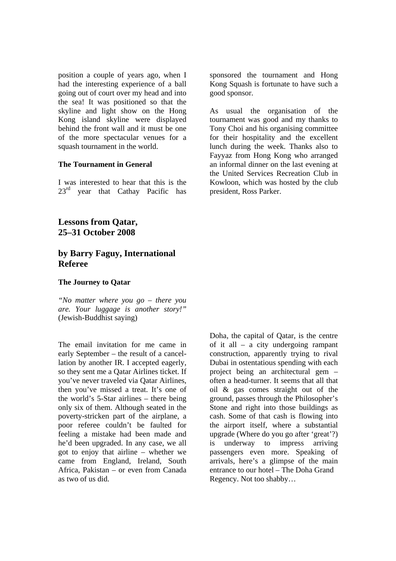position a couple of years ago, when I had the interesting experience of a ball going out of court over my head and into the sea! It was positioned so that the skyline and light show on the Hong Kong island skyline were displayed behind the front wall and it must be one of the more spectacular venues for a squash tournament in the world.

#### **The Tournament in General**

I was interested to hear that this is the 23<sup>rd</sup> year that Cathay Pacific has

## **Lessons from Qatar, 25–31 October 2008**

## **by Barry Faguy, International Referee**

#### **The Journey to Qatar**

*"No matter where you go – there you are. Your luggage is another story!"*  (Jewish-Buddhist saying)

The email invitation for me came in early September – the result of a cancellation by another IR. I accepted eagerly, so they sent me a Qatar Airlines ticket. If you've never traveled via Qatar Airlines, then you've missed a treat. It's one of the world's 5-Star airlines – there being only six of them. Although seated in the poverty-stricken part of the airplane, a poor referee couldn't be faulted for feeling a mistake had been made and he'd been upgraded. In any case, we all got to enjoy that airline – whether we came from England, Ireland, South Africa, Pakistan – or even from Canada as two of us did.

sponsored the tournament and Hong Kong Squash is fortunate to have such a good sponsor.

As usual the organisation of the tournament was good and my thanks to Tony Choi and his organising committee for their hospitality and the excellent lunch during the week. Thanks also to Fayyaz from Hong Kong who arranged an informal dinner on the last evening at the United Services Recreation Club in Kowloon, which was hosted by the club president, Ross Parker.

Doha, the capital of Qatar, is the centre of it all – a city undergoing rampant construction, apparently trying to rival Dubai in ostentatious spending with each project being an architectural gem – often a head-turner. It seems that all that oil & gas comes straight out of the ground, passes through the Philosopher's Stone and right into those buildings as cash. Some of that cash is flowing into the airport itself, where a substantial upgrade (Where do you go after 'great'?) is underway to impress arriving passengers even more. Speaking of arrivals, here's a glimpse of the main entrance to our hotel – The Doha Grand Regency. Not too shabby…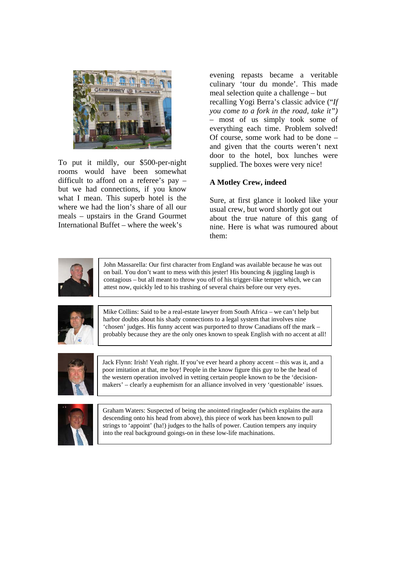

To put it mildly, our \$500-per-night rooms would have been somewhat difficult to afford on a referee's pay – but we had connections, if you know what I mean. This superb hotel is the where we had the lion's share of all our meals – upstairs in the Grand Gourmet International Buffet – where the week's

evening repasts became a veritable culinary 'tour du monde'. This made meal selection quite a challenge – but recalling Yogi Berra's classic advice ("*If you come to a fork in the road, take it")*  – most of us simply took some of everything each time. Problem solved! Of course, some work had to be done – and given that the courts weren't next door to the hotel, box lunches were supplied. The boxes were very nice!

### **A Motley Crew, indeed**

Sure, at first glance it looked like your usual crew, but word shortly got out about the true nature of this gang of nine. Here is what was rumoured about them:



John Massarella: Our first character from England was available because he was out on bail. You don't want to mess with this jester! His bouncing & jiggling laugh is contagious – but all meant to throw you off of his trigger-like temper which, we can attest now, quickly led to his trashing of several chairs before our very eyes.



Mike Collins: Said to be a real-estate lawyer from South Africa – we can't help but harbor doubts about his shady connections to a legal system that involves nine 'chosen' judges. His funny accent was purported to throw Canadians off the mark – probably because they are the only ones known to speak English with no accent at all!



Jack Flynn: Irish! Yeah right. If you've ever heard a phony accent – this was it, and a poor imitation at that, me boy! People in the know figure this guy to be the head of the western operation involved in vetting certain people known to be the 'decisionmakers' – clearly a euphemism for an alliance involved in very 'questionable' issues.



Graham Waters: Suspected of being the anointed ringleader (which explains the aura descending onto his head from above), this piece of work has been known to pull strings to 'appoint' (ha!) judges to the halls of power. Caution tempers any inquiry into the real background goings-on in these low-life machinations.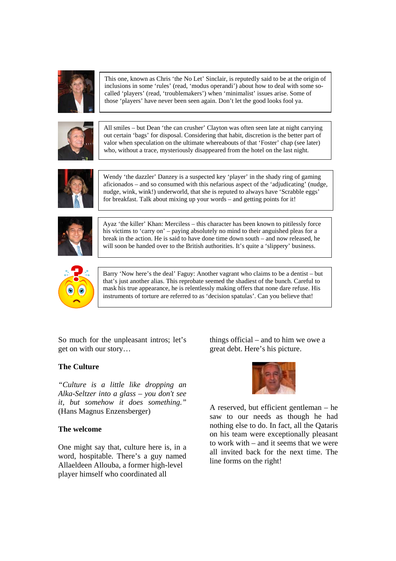

This one, known as Chris 'the No Let' Sinclair, is reputedly said to be at the origin of inclusions in some 'rules' (read, 'modus operandi') about how to deal with some socalled 'players' (read, 'troublemakers') when 'minimalist' issues arise. Some of those 'players' have never been seen again. Don't let the good looks fool ya.



All smiles – but Dean 'the can crusher' Clayton was often seen late at night carrying out certain 'bags' for disposal. Considering that habit, discretion is the better part of valor when speculation on the ultimate whereabouts of that 'Foster' chap (see later) who, without a trace, mysteriously disappeared from the hotel on the last night.



Wendy 'the dazzler' Danzey is a suspected key 'player' in the shady ring of gaming aficionados – and so consumed with this nefarious aspect of the 'adjudicating' (nudge, nudge, wink, wink!) underworld, that she is reputed to always have 'Scrabble eggs' for breakfast. Talk about mixing up your words – and getting points for it!



Ayaz 'the killer' Khan: Merciless – this character has been known to pitilessly force his victims to 'carry on' – paying absolutely no mind to their anguished pleas for a break in the action. He is said to have done time down south – and now released, he will soon be handed over to the British authorities. It's quite a 'slippery' business.



Barry 'Now here's the deal' Faguy: Another vagrant who claims to be a dentist – but that's just another alias. This reprobate seemed the shadiest of the bunch. Careful to mask his true appearance, he is relentlessly making offers that none dare refuse. His instruments of torture are referred to as 'decision spatulas'. Can you believe that!

So much for the unpleasant intros; let's get on with our story…

### **The Culture**

*"Culture is a little like dropping an Alka-Seltzer into a glass – you don't see it, but somehow it does something."*  (Hans Magnus Enzensberger)

### **The welcome**

One might say that, culture here is, in a word, hospitable. There's a guy named Allaeldeen Allouba, a former high-level player himself who coordinated all

things official – and to him we owe a great debt. Here's his picture.



A reserved, but efficient gentleman – he saw to our needs as though he had nothing else to do. In fact, all the Qataris on his team were exceptionally pleasant to work with – and it seems that we were all invited back for the next time. The line forms on the right!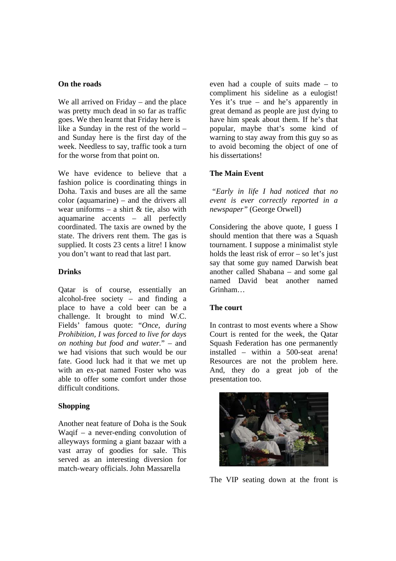#### **On the roads**

We all arrived on Friday – and the place was pretty much dead in so far as traffic goes. We then learnt that Friday here is like a Sunday in the rest of the world – and Sunday here is the first day of the week. Needless to say, traffic took a turn for the worse from that point on.

We have evidence to believe that a fashion police is coordinating things in Doha. Taxis and buses are all the same color (aquamarine) – and the drivers all wear uniforms – a shirt  $\&$  tie, also with aquamarine accents – all perfectly coordinated. The taxis are owned by the state. The drivers rent them. The gas is supplied. It costs 23 cents a litre! I know you don't want to read that last part.

### **Drinks**

Qatar is of course, essentially an alcohol-free society – and finding a place to have a cold beer can be a challenge. It brought to mind W.C. Fields' famous quote: "*Once, during Prohibition, I was forced to live for days on nothing but food and water.*" – and we had visions that such would be our fate. Good luck had it that we met up with an ex-pat named Foster who was able to offer some comfort under those difficult conditions.

### **Shopping**

Another neat feature of Doha is the Souk Waqif – a never-ending convolution of alleyways forming a giant bazaar with a vast array of goodies for sale. This served as an interesting diversion for match-weary officials. John Massarella

even had a couple of suits made – to compliment his sideline as a eulogist! Yes it's true – and he's apparently in great demand as people are just dying to have him speak about them. If he's that popular, maybe that's some kind of warning to stay away from this guy so as to avoid becoming the object of one of his dissertations!

### **The Main Event**

 *"Early in life I had noticed that no event is ever correctly reported in a newspaper"* (George Orwell)

Considering the above quote, I guess I should mention that there was a Squash tournament. I suppose a minimalist style holds the least risk of  $error - so$  let's just say that some guy named Darwish beat another called Shabana – and some gal named David beat another named Grinham…

### **The court**

In contrast to most events where a Show Court is rented for the week, the Qatar Squash Federation has one permanently installed – within a 500-seat arena! Resources are not the problem here. And, they do a great job of the presentation too.



The VIP seating down at the front is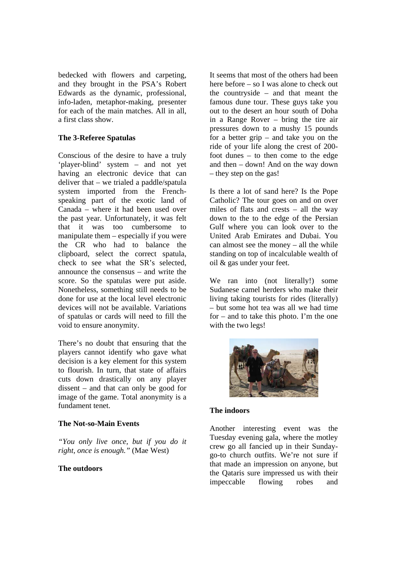bedecked with flowers and carpeting, and they brought in the PSA's Robert Edwards as the dynamic, professional, info-laden, metaphor-making, presenter for each of the main matches. All in all, a first class show.

### **The 3-Referee Spatulas**

Conscious of the desire to have a truly 'player-blind' system – and not yet having an electronic device that can deliver that – we trialed a paddle/spatula system imported from the Frenchspeaking part of the exotic land of Canada – where it had been used over the past year. Unfortunately, it was felt that it was too cumbersome to manipulate them – especially if you were the CR who had to balance the clipboard, select the correct spatula, check to see what the SR's selected, announce the consensus – and write the score. So the spatulas were put aside. Nonetheless, something still needs to be done for use at the local level electronic devices will not be available. Variations of spatulas or cards will need to fill the void to ensure anonymity.

There's no doubt that ensuring that the players cannot identify who gave what decision is a key element for this system to flourish. In turn, that state of affairs cuts down drastically on any player dissent – and that can only be good for image of the game. Total anonymity is a fundament tenet.

### **The Not-so-Main Events**

*"You only live once, but if you do it right, once is enough."* (Mae West)

### **The outdoors**

It seems that most of the others had been here before – so I was alone to check out the countryside – and that meant the famous dune tour. These guys take you out to the desert an hour south of Doha in a Range Rover – bring the tire air pressures down to a mushy 15 pounds for a better grip – and take you on the ride of your life along the crest of 200 foot dunes – to then come to the edge and then – down! And on the way down – they step on the gas!

Is there a lot of sand here? Is the Pope Catholic? The tour goes on and on over miles of flats and crests – all the way down to the to the edge of the Persian Gulf where you can look over to the United Arab Emirates and Dubai. You can almost see the money – all the while standing on top of incalculable wealth of oil & gas under your feet.

We ran into (not literally!) some Sudanese camel herders who make their living taking tourists for rides (literally) – but some hot tea was all we had time for – and to take this photo. I'm the one with the two legs!



## **The indoors**

Another interesting event was the Tuesday evening gala, where the motley crew go all fancied up in their Sundaygo-to church outfits. We're not sure if that made an impression on anyone, but the Qataris sure impressed us with their impeccable flowing robes and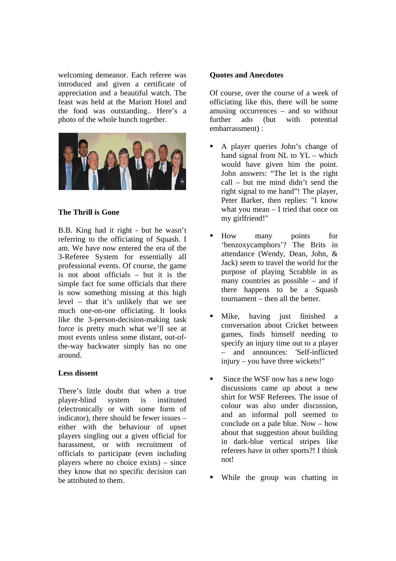welcoming demeanor. Each referee was introduced and given a certificate of appreciation and a beautiful watch. The feast was held at the Mariott Hotel and the food was outstanding.. Here's a photo of the whole bunch together.



#### **The Thrill is Gone**

B.B. King had it right - but he wasn't referring to the officiating of Squash. I am. We have now entered the era of the 3-Referee System for essentially all professional events. Of course, the game is not about officials – but it is the simple fact for some officials that there is now something missing at this high level – that it's unlikely that we see much one-on-one officiating. It looks like the 3-person-decision-making task force is pretty much what we'll see at most events unless some distant, out-ofthe-way backwater simply has no one around.

#### **Less dissent**

There's little doubt that when a true player-blind system is instituted (electronically or with some form of indicator), there should be fewer issues – either with the behaviour of upset players singling out a given official for harassment, or with recruitment of officials to participate (even including players where no choice exists) – since they know that no specific decision can be attributed to them.

#### **Quotes and Anecdotes**

Of course, over the course of a week of officiating like this, there will be some amusing occurrences – and so without further ado (but with potential embarrassment) :

- A player queries John's change of hand signal from NL to YL – which would have given him the point. John answers: "The let is the right call – but me mind didn't send the right signal to me hand"! The player, Peter Barker, then replies: "I know what you mean – I tried that once on my girlfriend!"
- How many points for 'benzoxycamphors'? The Brits in attendance (Wendy, Dean, John, & Jack) seem to travel the world for the purpose of playing Scrabble in as many countries as possible – and if there happens to be a Squash tournament – then all the better.
- Mike, having just finished a conversation about Cricket between games, finds himself needing to specify an injury time out to a player – and announces: 'Self-inflicted injury – you have three wickets!"
- Since the WSF now has a new logo discussions came up about a new shirt for WSF Referees. The issue of colour was also under discussion, and an informal poll seemed to conclude on a pale blue. Now – how about that suggestion about building in dark-blue vertical stripes like referees have in other sports?! I think not!
- While the group was chatting in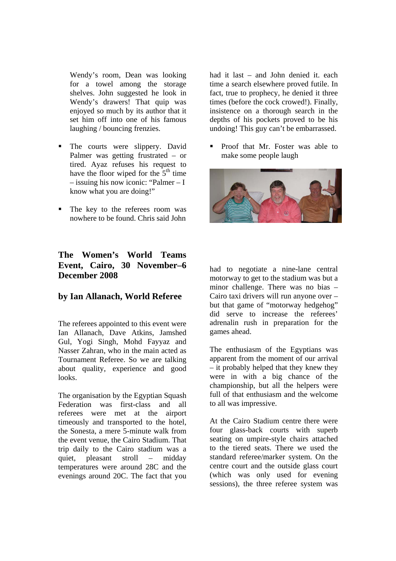Wendy's room, Dean was looking for a towel among the storage shelves. John suggested he look in Wendy's drawers! That quip was enjoyed so much by its author that it set him off into one of his famous laughing / bouncing frenzies.

- The courts were slippery. David Palmer was getting frustrated – or tired. Ayaz refuses his request to have the floor wiped for the  $5<sup>th</sup>$  time – issuing his now iconic: "Palmer – I know what you are doing!"
- The key to the referees room was nowhere to be found. Chris said John

## **The Women's World Teams Event, Cairo, 30 November–6 December 2008**

## **by Ian Allanach, World Referee**

The referees appointed to this event were Ian Allanach, Dave Atkins, Jamshed Gul, Yogi Singh, Mohd Fayyaz and Nasser Zahran, who in the main acted as Tournament Referee. So we are talking about quality, experience and good looks.

The organisation by the Egyptian Squash Federation was first-class and all referees were met at the airport timeously and transported to the hotel, the Sonesta, a mere 5-minute walk from the event venue, the Cairo Stadium. That trip daily to the Cairo stadium was a quiet, pleasant stroll – midday temperatures were around 28C and the evenings around 20C. The fact that you had it last – and John denied it. each time a search elsewhere proved futile. In fact, true to prophecy, he denied it three times (before the cock crowed!). Finally, insistence on a thorough search in the depths of his pockets proved to be his undoing! This guy can't be embarrassed.

 Proof that Mr. Foster was able to make some people laugh



had to negotiate a nine-lane central motorway to get to the stadium was but a minor challenge. There was no bias – Cairo taxi drivers will run anyone over – but that game of "motorway hedgehog" did serve to increase the referees' adrenalin rush in preparation for the games ahead.

The enthusiasm of the Egyptians was apparent from the moment of our arrival – it probably helped that they knew they were in with a big chance of the championship, but all the helpers were full of that enthusiasm and the welcome to all was impressive.

At the Cairo Stadium centre there were four glass-back courts with superb seating on umpire-style chairs attached to the tiered seats. There we used the standard referee/marker system. On the centre court and the outside glass court (which was only used for evening sessions), the three referee system was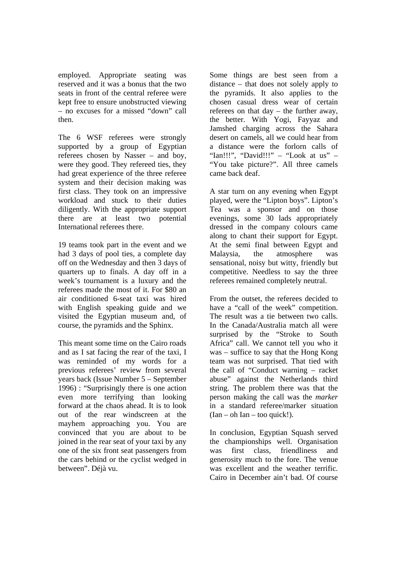employed. Appropriate seating was reserved and it was a bonus that the two seats in front of the central referee were kept free to ensure unobstructed viewing – no excuses for a missed "down" call then.

The 6 WSF referees were strongly supported by a group of Egyptian referees chosen by Nasser – and boy, were they good. They refereed ties, they had great experience of the three referee system and their decision making was first class. They took on an impressive workload and stuck to their duties diligently. With the appropriate support there are at least two potential International referees there.

19 teams took part in the event and we had 3 days of pool ties, a complete day off on the Wednesday and then 3 days of quarters up to finals. A day off in a week's tournament is a luxury and the referees made the most of it. For \$80 an air conditioned 6-seat taxi was hired with English speaking guide and we visited the Egyptian museum and, of course, the pyramids and the Sphinx.

This meant some time on the Cairo roads and as I sat facing the rear of the taxi, I was reminded of my words for a previous referees' review from several years back (Issue Number 5 – September 1996) : "Surprisingly there is one action even more terrifying than looking forward at the chaos ahead. It is to look out of the rear windscreen at the mayhem approaching you. You are convinced that you are about to be joined in the rear seat of your taxi by any one of the six front seat passengers from the cars behind or the cyclist wedged in between". Déjà vu.

Some things are best seen from a distance – that does not solely apply to the pyramids. It also applies to the chosen casual dress wear of certain referees on that day – the further away, the better. With Yogi, Fayyaz and Jamshed charging across the Sahara desert on camels, all we could hear from a distance were the forlorn calls of "Ian!!!", "David!!!" – "Look at us" – "You take picture?". All three camels came back deaf.

A star turn on any evening when Egypt played, were the "Lipton boys". Lipton's Tea was a sponsor and on those evenings, some 30 lads appropriately dressed in the company colours came along to chant their support for Egypt. At the semi final between Egypt and Malaysia, the atmosphere was sensational, noisy but witty, friendly but competitive. Needless to say the three referees remained completely neutral.

From the outset, the referees decided to have a "call of the week" competition. The result was a tie between two calls. In the Canada/Australia match all were surprised by the "Stroke to South Africa" call. We cannot tell you who it was – suffice to say that the Hong Kong team was not surprised. That tied with the call of "Conduct warning – racket abuse" against the Netherlands third string. The problem there was that the person making the call was the *marker* in a standard referee/marker situation  $(Ian - oh Ian - too quick!)$ .

In conclusion, Egyptian Squash served the championships well. Organisation was first class, friendliness and generosity much to the fore. The venue was excellent and the weather terrific. Cairo in December ain't bad. Of course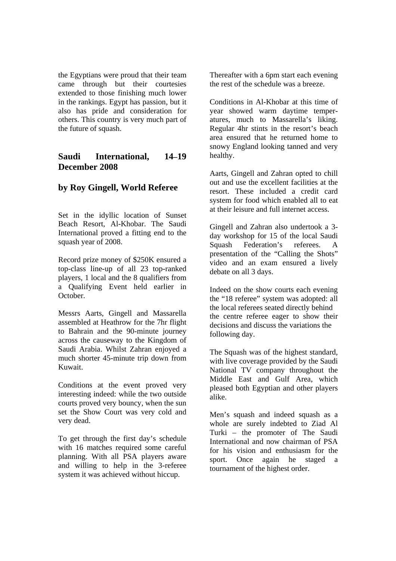the Egyptians were proud that their team came through but their courtesies extended to those finishing much lower in the rankings. Egypt has passion, but it also has pride and consideration for others. This country is very much part of the future of squash.

## **Saudi International, 14–19 December 2008**

## **by Roy Gingell, World Referee**

Set in the idyllic location of Sunset Beach Resort, Al-Khobar. The Saudi International proved a fitting end to the squash year of 2008.

Record prize money of \$250K ensured a top-class line-up of all 23 top-ranked players, 1 local and the 8 qualifiers from a Qualifying Event held earlier in October.

Messrs Aarts, Gingell and Massarella assembled at Heathrow for the 7hr flight to Bahrain and the 90-minute journey across the causeway to the Kingdom of Saudi Arabia. Whilst Zahran enjoyed a much shorter 45-minute trip down from Kuwait.

Conditions at the event proved very interesting indeed: while the two outside courts proved very bouncy, when the sun set the Show Court was very cold and very dead.

To get through the first day's schedule with 16 matches required some careful planning. With all PSA players aware and willing to help in the 3-referee system it was achieved without hiccup.

Thereafter with a 6pm start each evening the rest of the schedule was a breeze.

Conditions in Al-Khobar at this time of year showed warm daytime temperatures, much to Massarella's liking. Regular 4hr stints in the resort's beach area ensured that he returned home to snowy England looking tanned and very healthy.

Aarts, Gingell and Zahran opted to chill out and use the excellent facilities at the resort. These included a credit card system for food which enabled all to eat at their leisure and full internet access.

Gingell and Zahran also undertook a 3 day workshop for 15 of the local Saudi Squash Federation's referees. A presentation of the "Calling the Shots" video and an exam ensured a lively debate on all 3 days.

Indeed on the show courts each evening the "18 referee" system was adopted: all the local referees seated directly behind the centre referee eager to show their decisions and discuss the variations the following day.

The Squash was of the highest standard, with live coverage provided by the Saudi National TV company throughout the Middle East and Gulf Area, which pleased both Egyptian and other players alike.

Men's squash and indeed squash as a whole are surely indebted to Ziad Al Turki – the promoter of The Saudi International and now chairman of PSA for his vision and enthusiasm for the sport. Once again he staged a tournament of the highest order.